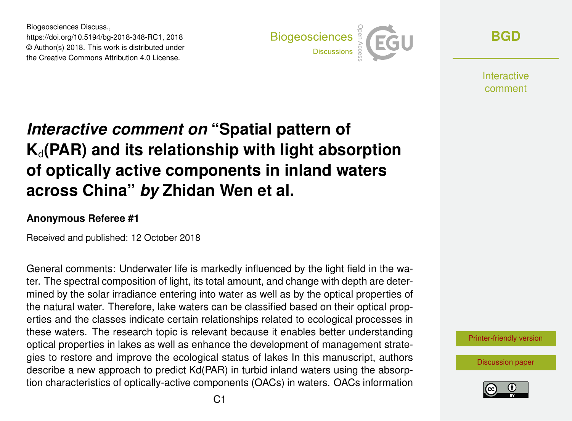Biogeosciences Discuss., https://doi.org/10.5194/bg-2018-348-RC1, 2018 © Author(s) 2018. This work is distributed under the Creative Commons Attribution 4.0 License.



**[BGD](https://www.biogeosciences-discuss.net/)**

**Interactive** comment

## *Interactive comment on* **"Spatial pattern of**  $K_d$ (PAR) and its relationship with light absorption **of optically active components in inland waters across China"** *by* **Zhidan Wen et al.**

## **Anonymous Referee #1**

Received and published: 12 October 2018

General comments: Underwater life is markedly influenced by the light field in the water. The spectral composition of light, its total amount, and change with depth are determined by the solar irradiance entering into water as well as by the optical properties of the natural water. Therefore, lake waters can be classified based on their optical properties and the classes indicate certain relationships related to ecological processes in these waters. The research topic is relevant because it enables better understanding optical properties in lakes as well as enhance the development of management strategies to restore and improve the ecological status of lakes In this manuscript, authors describe a new approach to predict Kd(PAR) in turbid inland waters using the absorption characteristics of optically-active components (OACs) in waters. OACs information

[Printer-friendly version](https://www.biogeosciences-discuss.net/bg-2018-348/bg-2018-348-RC1-print.pdf)

[Discussion paper](https://www.biogeosciences-discuss.net/bg-2018-348)

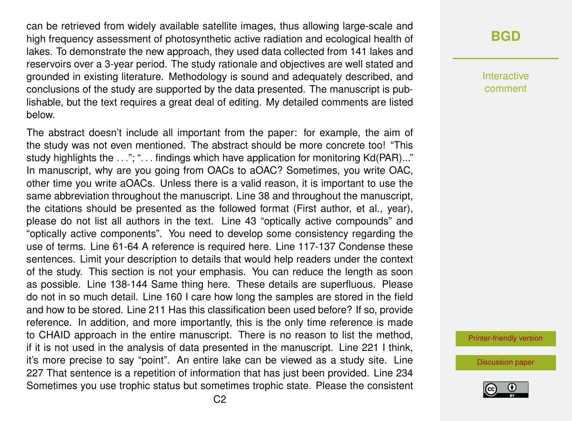can be retrieved from widely available satellite images, thus allowing large-scale and high frequency assessment of photosynthetic active radiation and ecological health of lakes. To demonstrate the new approach, they used data collected from 141 lakes and reservoirs over a 3-year period. The study rationale and objectives are well stated and grounded in existing literature. Methodology is sound and adequately described, and conclusions of the study are supported by the data presented. The manuscript is publishable, but the text requires a great deal of editing. My detailed comments are listed below.

The abstract doesn't include all important from the paper: for example, the aim of the study was not even mentioned. The abstract should be more concrete too! "This study highlights the ..."; "... findings which have application for monitoring Kd(PAR)..." In manuscript, why are you going from OACs to aOAC? Sometimes, you write OAC, other time you write aOACs. Unless there is a valid reason, it is important to use the same abbreviation throughout the manuscript. Line 38 and throughout the manuscript, the citations should be presented as the followed format (First author, et al., year), please do not list all authors in the text. Line 43 "optically active compounds" and "optically active components". You need to develop some consistency regarding the use of terms. Line 61-64 A reference is required here. Line 117-137 Condense these sentences. Limit your description to details that would help readers under the context of the study. This section is not your emphasis. You can reduce the length as soon as possible. Line 138-144 Same thing here. These details are superfluous. Please do not in so much detail. Line 160 I care how long the samples are stored in the field and how to be stored. Line 211 Has this classification been used before? If so, provide reference. In addition, and more importantly, this is the only time reference is made to CHAID approach in the entire manuscript. There is no reason to list the method, if it is not used in the analysis of data presented in the manuscript. Line 221 I think, it's more precise to say "point". An entire lake can be viewed as a study site. Line 227 That sentence is a repetition of information that has just been provided. Line 234 Sometimes you use trophic status but sometimes trophic state. Please the consistent

## **[BGD](https://www.biogeosciences-discuss.net/)**

Interactive comment

[Printer-friendly version](https://www.biogeosciences-discuss.net/bg-2018-348/bg-2018-348-RC1-print.pdf)

[Discussion paper](https://www.biogeosciences-discuss.net/bg-2018-348)